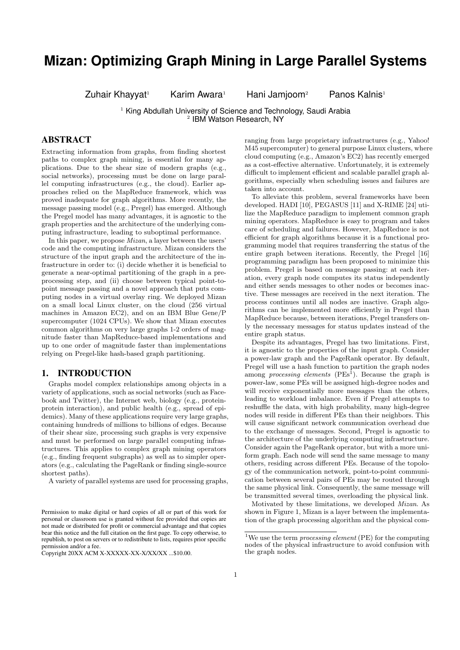# **Mizan: Optimizing Graph Mining in Large Parallel Systems**

 $Zuhair Khayyat<sup>1</sup>$  Karim Awara<sup>1</sup> Hani Jamjoom<sup>2</sup> Panos Kalnis<sup>1</sup>

<sup>1</sup> King Abdullah University of Science and Technology, Saudi Arabia 2 IBM Watson Research, NY

# ABSTRACT

Extracting information from graphs, from finding shortest paths to complex graph mining, is essential for many applications. Due to the shear size of modern graphs (e.g., social networks), processing must be done on large parallel computing infrastructures (e.g., the cloud). Earlier approaches relied on the MapReduce framework, which was proved inadequate for graph algorithms. More recently, the message passing model (e.g., Pregel) has emerged. Although the Pregel model has many advantages, it is agnostic to the graph properties and the architecture of the underlying computing infrastructure, leading to suboptimal performance.

In this paper, we propose Mizan, a layer between the users' code and the computing infrastructure. Mizan considers the structure of the input graph and the architecture of the infrastructure in order to: (i) decide whether it is beneficial to generate a near-optimal partitioning of the graph in a preprocessing step, and (ii) choose between typical point-topoint message passing and a novel approach that puts computing nodes in a virtual overlay ring. We deployed Mizan on a small local Linux cluster, on the cloud (256 virtual machines in Amazon EC2), and on an IBM Blue Gene/P supercomputer (1024 CPUs). We show that Mizan executes common algorithms on very large graphs 1-2 orders of magnitude faster than MapReduce-based implementations and up to one order of magnitude faster than implementations relying on Pregel-like hash-based graph partitioning.

## 1. INTRODUCTION

Graphs model complex relationships among objects in a variety of applications, such as social networks (such as Facebook and Twitter), the Internet web, biology (e.g., proteinprotein interaction), and public health (e.g., spread of epidemics). Many of these applications require very large graphs, containing hundreds of millions to billions of edges. Because of their shear size, processing such graphs is very expensive and must be performed on large parallel computing infrastructures. This applies to complex graph mining operators (e.g., finding frequent subgraphs) as well as to simpler operators (e.g., calculating the PageRank or finding single-source shortest paths).

A variety of parallel systems are used for processing graphs,

ranging from large proprietary infrastructures (e.g., Yahoo! M45 supercomputer) to general purpose Linux clusters, where cloud computing (e.g., Amazon's EC2) has recently emerged as a cost-effective alternative. Unfortunately, it is extremely difficult to implement efficient and scalable parallel graph algorithms, especially when scheduling issues and failures are taken into account.

To alleviate this problem, several frameworks have been developed. HADI [10], PEGASUS [11] and X-RIME [24] utilize the MapReduce paradigm to implement common graph mining operators. MapReduce is easy to program and takes care of scheduling and failures. However, MapReduce is not efficient for graph algorithms because it is a functional programming model that requires transferring the status of the entire graph between iterations. Recently, the Pregel [16] programming paradigm has been proposed to minimize this problem. Pregel is based on message passing: at each iteration, every graph node computes its status independently and either sends messages to other nodes or becomes inactive. These messages are received in the next iteration. The process continues until all nodes are inactive. Graph algorithms can be implemented more efficiently in Pregel than MapReduce because, between iterations, Pregel transfers only the necessary messages for status updates instead of the entire graph status.

Despite its advantages, Pregel has two limitations. First, it is agnostic to the properties of the input graph. Consider a power-law graph and the PageRank operator. By default, Pregel will use a hash function to partition the graph nodes among *processing elements* ( $PEs^{\bar{1}}$ ). Because the graph is power-law, some PEs will be assigned high-degree nodes and will receive exponentially more messages than the others, leading to workload imbalance. Even if Pregel attempts to reshuffle the data, with high probability, many high-degree nodes will reside in different PEs than their neighbors. This will cause significant network communication overhead due to the exchange of messages. Second, Pregel is agnostic to the architecture of the underlying computing infrastructure. Consider again the PageRank operator, but with a more uniform graph. Each node will send the same message to many others, residing across different PEs. Because of the topology of the communication network, point-to-point communication between several pairs of PEs may be routed through the same physical link. Consequently, the same message will be transmitted several times, overloading the physical link.

Motivated by these limitations, we developed Mizan. As shown in Figure 1, Mizan is a layer between the implementation of the graph processing algorithm and the physical com-

Permission to make digital or hard copies of all or part of this work for personal or classroom use is granted without fee provided that copies are not made or distributed for profit or commercial advantage and that copies bear this notice and the full citation on the first page. To copy otherwise, to republish, to post on servers or to redistribute to lists, requires prior specific permission and/or a fee.

Copyright 20XX ACM X-XXXXX-XX-X/XX/XX ...\$10.00.

<sup>&</sup>lt;sup>1</sup>We use the term *processing element* (PE) for the computing nodes of the physical infrastructure to avoid confusion with the graph nodes.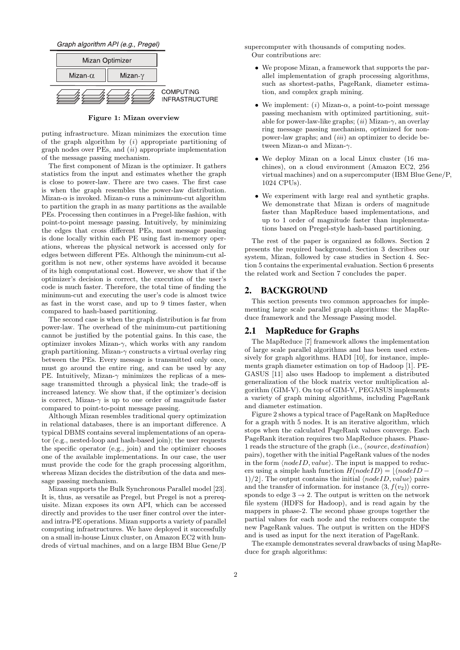Graph algorithm API (e.g., Pregel)



Figure 1: Mizan overview

puting infrastructure. Mizan minimizes the execution time of the graph algorithm by  $(i)$  appropriate partitioning of graph nodes over PEs, and  $(ii)$  appropriate implementation of the message passing mechanism.

The first component of Mizan is the optimizer. It gathers statistics from the input and estimates whether the graph is close to power-law. There are two cases. The first case is when the graph resembles the power-law distribution. Mizan- $\alpha$  is invoked. Mizan- $\alpha$  runs a minimum-cut algorithm to partition the graph in as many partitions as the available PEs. Processing then continues in a Pregel-like fashion, with point-to-point message passing. Intuitively, by minimizing the edges that cross different PEs, most message passing is done locally within each PE using fast in-memory operations, whereas the physical network is accessed only for edges between different PEs. Although the minimum-cut algorithm is not new, other systems have avoided it because of its high computational cost. However, we show that if the optimizer's decision is correct, the execution of the user's code is much faster. Therefore, the total time of finding the minimum-cut and executing the user's code is almost twice as fast in the worst case, and up to 9 times faster, when compared to hash-based partitioning.

The second case is when the graph distribution is far from power-law. The overhead of the minimum-cut partitioning cannot be justified by the potential gains. In this case, the optimizer invokes Mizan- $\gamma$ , which works with any random graph partitioning. Mizan- $\gamma$  constructs a virtual overlay ring between the PEs. Every message is transmitted only once, must go around the entire ring, and can be used by any PE. Intuitively, Mizan- $\gamma$  minimizes the replicas of a message transmitted through a physical link; the trade-off is increased latency. We show that, if the optimizer's decision is correct, Mizan- $\gamma$  is up to one order of magnitude faster compared to point-to-point message passing.

Although Mizan resembles traditional query optimization in relational databases, there is an important difference. A typical DBMS contains several implementations of an operator (e.g., nested-loop and hash-based join); the user requests the specific operator (e.g., join) and the optimizer chooses one of the available implementations. In our case, the user must provide the code for the graph processing algorithm, whereas Mizan decides the distribution of the data and message passing mechanism.

Mizan supports the Bulk Synchronous Parallel model [23]. It is, thus, as versatile as Pregel, but Pregel is not a prerequisite. Mizan exposes its own API, which can be accessed directly and provides to the user finer control over the interand intra-PE operations. Mizan supports a variety of parallel computing infrastructures. We have deployed it successfully on a small in-house Linux cluster, on Amazon EC2 with hundreds of virtual machines, and on a large IBM Blue Gene/P

supercomputer with thousands of computing nodes. Our contributions are:

- We propose Mizan, a framework that supports the parallel implementation of graph processing algorithms, such as shortest-paths, PageRank, diameter estimation, and complex graph mining.
- We implement: (i) Mizan- $\alpha$ , a point-to-point message passing mechanism with optimized partitioning, suitable for power-law-like graphs;  $(ii)$  Mizan- $\gamma$ , an overlay ring message passing mechanism, optimized for nonpower-law graphs; and *(iii)* an optimizer to decide between Mizan- $\alpha$  and Mizan- $\gamma$ .
- We deploy Mizan on a local Linux cluster (16 machines), on a cloud environment (Amazon EC2, 256 virtual machines) and on a supercomputer (IBM Blue Gene/P, 1024 CPUs).
- We experiment with large real and synthetic graphs. We demonstrate that Mizan is orders of magnitude faster than MapReduce based implementations, and up to 1 order of magnitude faster than implementations based on Pregel-style hash-based partitioning.

The rest of the paper is organized as follows. Section 2 presents the required background. Section 3 describes our system, Mizan, followed by case studies in Section 4. Section 5 contains the experimental evaluation. Section 6 presents the related work and Section 7 concludes the paper.

## 2. BACKGROUND

This section presents two common approaches for implementing large scale parallel graph algorithms: the MapReduce framework and the Message Passing model.

## 2.1 MapReduce for Graphs

The MapReduce [7] framework allows the implementation of large scale parallel algorithms and has been used extensively for graph algorithms. HADI [10], for instance, implements graph diameter estimation on top of Hadoop [1]. PE-GASUS [11] also uses Hadoop to implement a distributed generalization of the block matrix vector multiplication algorithm (GIM-V). On top of GIM-V, PEGASUS implements a variety of graph mining algorithms, including PageRank and diameter estimation.

Figure 2 shows a typical trace of PageRank on MapReduce for a graph with 5 nodes. It is an iterative algorithm, which stops when the calculated PageRank values converge. Each PageRank iteration requires two MapReduce phases. Phase-1 reads the structure of the graph (i.e.,  $\langle source, destination \rangle$ pairs), together with the initial PageRank values of the nodes in the form  $\langle nodeID, value \rangle$ . The input is mapped to reducers using a simple hash function  $H(nodeID) = |(nodeID -$ 1)/2. The output contains the initial  $\langle nodeID, value \rangle$  pairs and the transfer of information. for instance  $\langle 3, f(v_2) \rangle$  corresponds to edge  $3 \rightarrow 2$ . The output is written on the network file system (HDFS for Hadoop), and is read again by the mappers in phase-2. The second phase groups together the partial values for each node and the reducers compute the new PageRank values. The output is written on the HDFS and is used as input for the next iteration of PageRank.

The example demonstrates several drawbacks of using MapReduce for graph algorithms: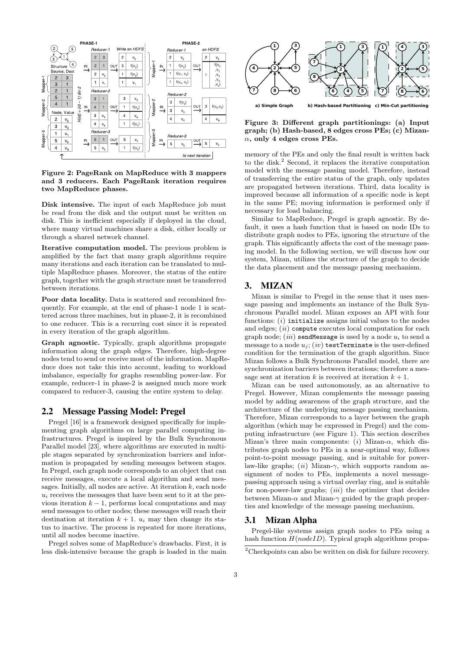

Figure 2: PageRank on MapReduce with 3 mappers and 3 reducers. Each PageRank iteration requires two MapReduce phases.

Disk intensive. The input of each MapReduce job must be read from the disk and the output must be written on disk. This is inefficient especially if deployed in the cloud, where many virtual machines share a disk, either locally or through a shared network channel.

Iterative computation model. The previous problem is amplified by the fact that many graph algorithms require many iterations and each iteration can be translated to multiple MapReduce phases. Moreover, the status of the entire graph, together with the graph structure must be transferred between iterations.

Poor data locality. Data is scattered and recombined frequently. For example, at the end of phase-1 node 1 is scattered across three machines, but in phase-2, it is recombined to one reducer. This is a recurring cost since it is repeated in every iteration of the graph algorithm.

Graph agnostic. Typically, graph algorithms propagate information along the graph edges. Therefore, high-degree nodes tend to send or receive most of the information. MapReduce does not take this into account, leading to workload imbalance, especially for graphs resembling power-law. For example, reducer-1 in phase-2 is assigned much more work compared to reducer-3, causing the entire system to delay.

## 2.2 Message Passing Model: Pregel

Pregel [16] is a framework designed specifically for implementing graph algorithms on large parallel computing infrastructures. Pregel is inspired by the Bulk Synchronous Parallel model [23], where algorithms are executed in multiple stages separated by synchronization barriers and information is propagated by sending messages between stages. In Pregel, each graph node corresponds to an object that can receive messages, execute a local algorithm and send messages. Initially, all nodes are active. At iteration  $k$ , each node  $u_i$  receives the messages that have been sent to it at the previous iteration  $k - 1$ , performs local computations and may send messages to other nodes; these messages will reach their destination at iteration  $k + 1$ .  $u_i$  may then change its status to inactive. The process is repeated for more iterations, until all nodes become inactive.

Pregel solves some of MapReduce's drawbacks. First, it is less disk-intensive because the graph is loaded in the main



Figure 3: Different graph partitionings: (a) Input graph; (b) Hash-based, 8 edges cross PEs; (c) Mizan- $\alpha$ , only 4 edges cross PEs.

memory of the PEs and only the final result is written back to the disk.<sup>2</sup> Second, it replaces the iterative computation model with the message passing model. Therefore, instead of transferring the entire status of the graph, only updates are propagated between iterations. Third, data locality is improved because all information of a specific node is kept in the same PE; moving information is performed only if necessary for load balancing.

Similar to MapReduce, Pregel is graph agnostic. By default, it uses a hash function that is based on node IDs to distribute graph nodes to PEs, ignoring the structure of the graph. This significantly affects the cost of the message passing model. In the following section, we will discuss how our system, Mizan, utilizes the structure of the graph to decide the data placement and the message passing mechanism.

## 3. MIZAN

Mizan is similar to Pregel in the sense that it uses message passing and implements an instance of the Bulk Synchronous Parallel model. Mizan exposes an API with four functions:  $(i)$  initialize assigns initial values to the nodes and edges;  $(ii)$  compute executes local computation for each graph node;  $(iii)$  sendMessage is used by a node  $u_i$  to send a message to a node  $u_j$ ;  $(iv)$  testTerminate is the user-defined condition for the termination of the graph algorithm. Since Mizan follows a Bulk Synchronous Parallel model, there are synchronization barriers between iterations; therefore a message sent at iteration k is received at iteration  $k + 1$ .

Mizan can be used autonomously, as an alternative to Pregel. However, Mizan complements the message passing model by adding awareness of the graph structure, and the architecture of the underlying message passing mechanism. Therefore, Mizan corresponds to a layer between the graph algorithm (which may be expressed in Pregel) and the computing infrastructure (see Figure 1). This section describes Mizan's three main components: (i) Mizan- $\alpha$ , which distributes graph nodes to PEs in a near-optimal way, follows point-to-point message passing, and is suitable for powerlaw-like graphs; (ii) Mizan- $\gamma$ , which supports random assignment of nodes to PEs, implements a novel messagepassing approach using a virtual overlay ring, and is suitable for non-power-law graphs;  $(iii)$  the optimizer that decides between Mizan- $\alpha$  and Mizan- $\gamma$  guided by the graph properties and knowledge of the message passing mechanism.

## 3.1 Mizan Alpha

Pregel-like systems assign graph nodes to PEs using a hash function  $H(nodeID)$ . Typical graph algorithms propa-

 $2^2$ Checkpoints can also be written on disk for failure recovery.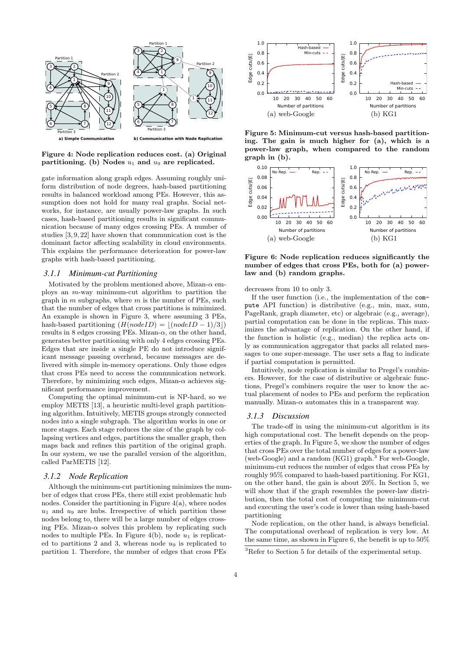

Figure 4: Node replication reduces cost. (a) Original partitioning. (b) Nodes  $u_1$  and  $u_9$  are replicated.

gate information along graph edges. Assuming roughly uniform distribution of node degrees, hash-based partitioning results in balanced workload among PEs. However, this assumption does not hold for many real graphs. Social networks, for instance, are usually power-law graphs. In such cases, hash-based partitioning results in significant communication because of many edges crossing PEs. A number of studies [3, 9, 22] have shown that communication cost is the dominant factor affecting scalability in cloud environments. This explains the performance deterioration for power-law graphs with hash-based partitioning.

## *3.1.1 Minimum-cut Partitioning*

Motivated by the problem mentioned above, Mizan- $\alpha$  employs an m-way minimum-cut algorithm to partition the graph in  $m$  subgraphs, where  $m$  is the number of PEs, such that the number of edges that cross partitions is minimized. An example is shown in Figure 3, where assuming 3 PEs, hash-based partitioning  $(H(nodeID) = |(nodeID - 1)/3|)$ results in 8 edges crossing PEs. Mizan- $\alpha$ , on the other hand, generates better partitioning with only 4 edges crossing PEs. Edges that are inside a single PE do not introduce significant message passing overhead, because messages are delivered with simple in-memory operations. Only those edges that cross PEs need to access the communication network. Therefore, by minimizing such edges, Mizan- $\alpha$  achieves significant performance improvement.

Computing the optimal minimum-cut is NP-hard, so we employ METIS [13], a heuristic multi-level graph partitioning algorithm. Intuitively, METIS groups strongly connected nodes into a single subgraph. The algorithm works in one or more stages. Each stage reduces the size of the graph by collapsing vertices and edges, partitions the smaller graph, then maps back and refines this partition of the original graph. In our system, we use the parallel version of the algorithm, called ParMETIS [12].

## *3.1.2 Node Replication*

Although the minimum-cut partitioning minimizes the number of edges that cross PEs, there still exist problematic hub nodes. Consider the partitioning in Figure  $4(a)$ , where nodes  $u_1$  and  $u_9$  are hubs. Irrespective of which partition these nodes belong to, there will be a large number of edges crossing PEs. Mizan- $\alpha$  solves this problem by replicating such nodes to multiple PEs. In Figure 4(b), node  $u_1$  is replicated to partitions  $2$  and  $3$ , whereas node  $u_9$  is replicated to partition 1. Therefore, the number of edges that cross PEs



Figure 5: Minimum-cut versus hash-based partitioning. The gain is much higher for (a), which is a power-law graph, when compared to the random graph in (b).



Figure 6: Node replication reduces significantly the number of edges that cross PEs, both for (a) powerlaw and (b) random graphs.

decreases from 10 to only 3.

If the user function (i.e., the implementation of the compute API function) is distributive (e.g., min, max, sum, PageRank, graph diameter, etc) or algebraic (e.g., average), partial computation can be done in the replicas. This maximizes the advantage of replication. On the other hand, if the function is holistic (e.g., median) the replica acts only as communication aggregator that packs all related messages to one super-message. The user sets a flag to indicate if partial computation is permitted.

Intuitively, node replication is similar to Pregel's combiners. However, for the case of distributive or algebraic functions, Pregel's combiners require the user to know the actual placement of nodes to PEs and perform the replication manually. Mizan- $\alpha$  automates this in a transparent way.

#### *3.1.3 Discussion*

The trade-off in using the minimum-cut algorithm is its high computational cost. The benefit depends on the properties of the graph. In Figure 5, we show the number of edges that cross PEs over the total number of edges for a power-law (web-Google) and a random  $(KG1)$  graph.<sup>3</sup> For web-Google, minimum-cut reduces the number of edges that cross PEs by roughly 95% compared to hash-based partitioning. For KG1, on the other hand, the gain is about 20%. In Section 5, we will show that if the graph resembles the power-law distribution, then the total cost of computing the minimum-cut and executing the user's code is lower than using hash-based partitioning

Node replication, on the other hand, is always beneficial. The computational overhead of replication is very low. At the same time, as shown in Figure 6, the benefit is up to 50%

<sup>3</sup>Refer to Section 5 for details of the experimental setup.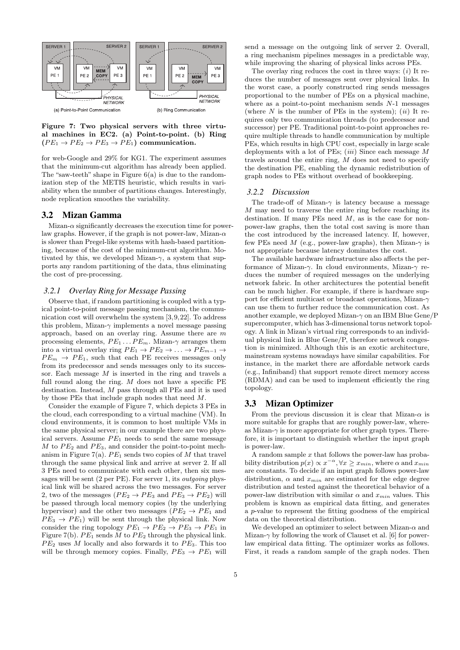

Figure 7: Two physical servers with three virtual machines in EC2. (a) Point-to-point. (b) Ring  $(PE_1 \rightarrow PE_2 \rightarrow PE_3 \rightarrow PE_1)$  communication.

for web-Google and 29% for KG1. The experiment assumes that the minimum-cut algorithm has already been applied. The "saw-teeth" shape in Figure 6(a) is due to the randomization step of the METIS heuristic, which results in variability when the number of partitions changes. Interestingly, node replication smoothes the variability.

## 3.2 Mizan Gamma

Mizan- $\alpha$  significantly decreases the execution time for powerlaw graphs. However, if the graph is not power-law, Mizan- $\alpha$ is slower than Pregel-like systems with hash-based partitioning, because of the cost of the minimum-cut algorithm. Motivated by this, we developed Mizan- $\gamma$ , a system that supports any random partitioning of the data, thus eliminating the cost of pre-processing.

## *3.2.1 Overlay Ring for Message Passing*

Observe that, if random partitioning is coupled with a typical point-to-point message passing mechanism, the communication cost will overwhelm the system [3,9,22]. To address this problem, Mizan- $\gamma$  implements a novel message passing approach, based on an overlay ring. Assume there are m processing elements,  $PE_1 \dots PE_m$ . Mizan- $\gamma$  arranges them into a virtual overlay ring  $PE_1 \rightarrow PE_2 \rightarrow \ldots \rightarrow PE_{m-1} \rightarrow$  $PE_m \rightarrow PE_1$ , such that each PE receives messages only from its predecessor and sends messages only to its successor. Each message  $M$  is inserted in the ring and travels a full round along the ring.  $M$  does not have a specific PE destination. Instead, M pass through all PEs and it is used by those PEs that include graph nodes that need M.

Consider the example of Figure 7, which depicts 3 PEs in the cloud, each corresponding to a virtual machine (VM). In cloud environments, it is common to host multiple VMs in the same physical server; in our example there are two physical servers. Assume  $PE<sub>1</sub>$  needs to send the same message  $M$  to  $PE<sub>2</sub>$  and  $PE<sub>3</sub>$ , and consider the point-to-point mechanism in Figure 7(a).  $PE_1$  sends two copies of M that travel through the same physical link and arrive at server 2. If all 3 PEs need to communicate with each other, then six messages will be sent  $(2 \text{ per PE})$ . For server 1, its *outgoing* physical link will be shared across the two messages. For server 2, two of the messages ( $PE_2 \rightarrow PE_3$  and  $PE_3 \rightarrow PE_2$ ) will be passed through local memory copies (by the underlying hypervisor) and the other two messages ( $PE_2 \rightarrow PE_1$  and  $PE_3 \rightarrow PE_1$ ) will be sent through the physical link. Now consider the ring topology  $PE_1 \rightarrow PE_2 \rightarrow PE_3 \rightarrow PE_1$  in Figure 7(b).  $PE_1$  sends M to  $PE_2$  through the physical link.  $PE<sub>2</sub>$  uses M locally and also forwards it to  $PE<sub>3</sub>$ . This too will be through memory copies. Finally,  $PE_3 \rightarrow PE_1$  will

send a message on the outgoing link of server 2. Overall, a ring mechanism pipelines messages in a predictable way, while improving the sharing of physical links across PEs.

The overlay ring reduces the cost in three ways:  $(i)$  It reduces the number of messages sent over physical links. In the worst case, a poorly constructed ring sends messages proportional to the number of PEs on a physical machine, where as a point-to-point mechanism sends  $N-1$  messages (where N is the number of PEs in the system); (*ii*) It requires only two communication threads (to predecessor and successor) per PE. Traditional point-to-point approaches require multiple threads to handle communication by multiple PEs, which results in high CPU cost, especially in large scale deployments with a lot of PEs;  $(iii)$  Since each message M travels around the entire ring, M does not need to specify the destination PE, enabling the dynamic redistribution of graph nodes to PEs without overhead of bookkeeping.

#### *3.2.2 Discussion*

The trade-off of Mizan- $\gamma$  is latency because a message  $M$  may need to traverse the entire ring before reaching its destination. If many PEs need  $M$ , as is the case for nonpower-law graphs, then the total cost saving is more than the cost introduced by the increased latency. If, however, few PEs need M (e.g., power-law graphs), then Mizan- $\gamma$  is not appropriate because latency dominates the cost.

The available hardware infrastructure also affects the performance of Mizan-γ. In cloud environments, Mizan-γ reduces the number of required messages on the underlying network fabric. In other architectures the potential benefit can be much higher. For example, if there is hardware support for efficient multicast or broadcast operations, Mizan- $\gamma$ can use them to further reduce the communication cost. As another example, we deployed Mizan-γ on an IBM Blue Gene/P supercomputer, which has 3-dimensional torus network topology. A link in Mizan's virtual ring corresponds to an individual physical link in Blue Gene/P, therefore network congestion is minimized. Although this is an exotic architecture, mainstream systems nowadays have similar capabilities. For instance, in the market there are affordable network cards (e.g., Infiniband) that support remote direct memory access (RDMA) and can be used to implement efficiently the ring topology.

#### 3.3 Mizan Optimizer

From the previous discussion it is clear that Mizan- $\alpha$  is more suitable for graphs that are roughly power-law, whereas Mizan- $\gamma$  is more appropriate for other graph types. Therefore, it is important to distinguish whether the input graph is power-law.

A random sample  $x$  that follows the power-law has probability distribution  $p(x) \propto x^{-\alpha}, \forall x \geq x_{min}$ , where  $\alpha$  and  $x_{min}$ are constants. To decide if an input graph follows power-law distribution,  $\alpha$  and  $x_{min}$  are estimated for the edge degree distribution and tested against the theoretical behavior of a power-law distribution with similar  $\alpha$  and  $x_{min}$  values. This problem is known as empirical data fitting, and generates a p-value to represent the fitting goodness of the empirical data on the theoretical distribution.

We developed an optimizer to select between Mizan- $\alpha$  and Mizan- $\gamma$  by following the work of Clauset et al. [6] for powerlaw empirical data fitting. The optimizer works as follows. First, it reads a random sample of the graph nodes. Then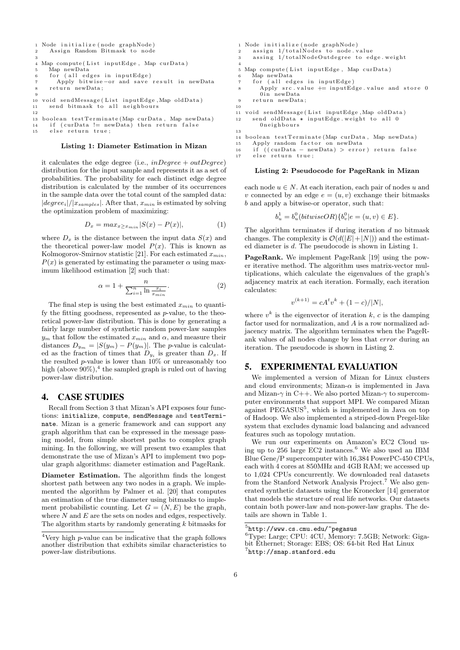```
1 Node initialize (node graphNode)
2 Assign Random Bitmask to node
3
\frac{1}{4} Map compute (List inputEdge, Map curData)
5 Map newData
6 for (all edges in inputEdge)
      Apply bitwise-or and save result in newData
     r e t urn new Data;
9
10 void sendMessage (List inputEdge , Map oldData)
11 send bitmask to all neighbours
12
13 boolean testTerminate (Map curData, Map newData)
14 if ( curData != newData) then return false
```
15 else return true;

#### Listing 1: Diameter Estimation in Mizan

it calculates the edge degree (i.e.,  $inDegree + outDegree)$ ) distribution for the input sample and represents it as a set of probabilities. The probability for each distinct edge degree distribution is calculated by the number of its occurrences in the sample data over the total count of the sampled data:  $|degree_i|/|x_{samples}|$ . After that,  $x_{min}$  is estimated by solving the optimization problem of maximizing:

$$
D_x = \max_{x \ge x_{\min}} |S(x) - P(x)|,\tag{1}
$$

where  $D_x$  is the distance between the input data  $S(x)$  and the theoretical power-law model  $P(x)$ . This is known as Kolmogorov-Smirnov statistic [21]. For each estimated  $x_{min}$ ,  $P(x)$  is generated by estimating the parameter  $\alpha$  using maximum likelihood estimation [2] such that:

$$
\alpha = 1 + \frac{n}{\sum_{i=1}^{n} \ln \frac{x_i}{x_{min}}}.
$$
\n(2)

The final step is using the best estimated  $x_{min}$  to quantify the fitting goodness, represented as p-value, to the theoretical power-law distribution. This is done by generating a fairly large number of synthetic random power-law samples  $y_m$  that follow the estimated  $x_{min}$  and  $\alpha$ , and measure their distances  $D_{y_m} = |S(y_m) - P(y_m)|$ . The *p*-value is calculated as the fraction of times that  $D_{y_i}$  is greater than  $D_x$ . If the resulted  $p$ -value is lower than  $10\%$  or unreasonably too high (above  $90\%$ ),<sup>4</sup> the sampled graph is ruled out of having power-law distribution.

## 4. CASE STUDIES

Recall from Section 3 that Mizan's API exposes four functions: initialize, compute, sendMessage and testTerminate. Mizan is a generic framework and can support any graph algorithm that can be expressed in the message passing model, from simple shortest paths to complex graph mining. In the following, we will present two examples that demonstrate the use of Mizan's API to implement two popular graph algorithms: diameter estimation and PageRank.

Diameter Estimation. The algorithm finds the longest shortest path between any two nodes in a graph. We implemented the algorithm by Palmer et al. [20] that computes an estimation of the true diameter using bitmasks to implement probabilistic counting. Let  $G = (N, E)$  be the graph, where  $N$  and  $E$  are the sets on nodes and edges, respectively. The algorithm starts by randomly generating  $k$  bitmasks for

```
1 Node i n i t i a l i z e ( node graphNode )
2 assign 1/totalNodes to node value
3 assing 1/totalNodeOutdegree to edge.weight
4
5 Map compute (List inputEdge, Map curData)
     Map newData
     for (all edges in inputEdge)
        Apply src value += inputEdge value and store 0
        0 in newData9 return newData:
10
11 void sendMessage (List inputEdge, Map oldData)
12 send oldData * inputEdge weight to all 0
       0 n e i ghbours
13
14 boolean testTerminate (Map curData, Map newData)
15 Apply random factor on newData<br>16 if ((\text{curl} \text{Data} - \text{newData}) > \text{error})16 if ((curData – newData) > error) return false<br>17 else return true;
```
#### Listing 2: Pseudocode for PageRank in Mizan

else return true;

each node  $u \in N$ . At each iteration, each pair of nodes u and v connected by an edge  $e = (u, v)$  exchange their bitmasks b and apply a bitwise-or operator, such that:

 $b_u^1 = b_u^0 (bitwiseOR) \{b_v^0 | e = (u, v) \in E\}.$ 

The algorithm terminates if during iteration  $d$  no bitmask changes. The complexity is  $\mathcal{O}(d(|E|+|N|))$  and the estimated diameter is d. The pseudocode is shown in Listing 1.

PageRank. We implement PageRank [19] using the power iterative method. The algorithm uses matrix-vector multiplications, which calculate the eigenvalues of the graph's adjacency matrix at each iteration. Formally, each iteration calculates:

$$
v^{(k+1)} = cA^t v^k + (1 - c)/|N|,
$$

where  $v^k$  is the eigenvector of iteration k, c is the damping factor used for normalization, and A is a row normalized adjacency matrix. The algorithm terminates when the PageRank values of all nodes change by less that error during an iteration. The pseudocode is shown in Listing 2.

## 5. EXPERIMENTAL EVALUATION

We implemented a version of Mizan for Linux clusters and cloud environments; Mizan- $\alpha$  is implemented in Java and Mizan- $\gamma$  in C++. We also ported Mizan- $\gamma$  to supercomputer environments that support MPI. We compared Mizan against PEGASUS<sup>5</sup>, which is implemented in Java on top of Hadoop. We also implemented a striped-down Pregel-like system that excludes dynamic load balancing and advanced features such as topology mutation.

We run our experiments on Amazon's EC2 Cloud using up to 256 large EC2 instances.<sup>6</sup> We also used an IBM Blue Gene/P supercomputer with 16,384 PowerPC-450 CPUs, each with 4 cores at 850MHz and 4GB RAM; we accessed up to 1,024 CPUs concurrently. We downloaded real datasets from the Stanford Network Analysis Project.<sup>7</sup> We also generated synthetic datasets using the Kronecker [14] generator that models the structure of real life networks. Our datasets contain both power-law and non-power-law graphs. The details are shown in Table 1.

<sup>4</sup>Very high p-value can be indicative that the graph follows another distribution that exhibits similar characteristics to power-law distributions.

 $5$ http://www.cs.cmu.edu/~pegasus

<sup>6</sup>Type: Large; CPU: 4CU, Memory: 7.5GB; Network: Gigabit Ethernet; Storage: EBS; OS: 64-bit Red Hat Linux 7 http://snap.stanford.edu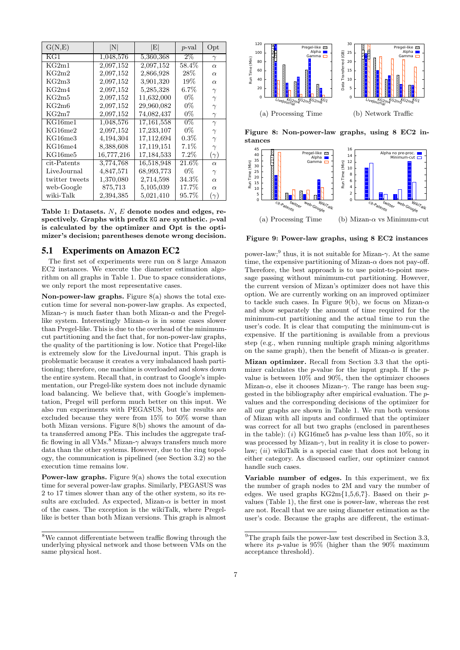| G(N,E)               | N          | $\left  \mathrm{E} \right $ | $p$ -val | Opt        |
|----------------------|------------|-----------------------------|----------|------------|
| $\overline{\rm KG1}$ | 1,048,576  | 5,360,368                   | $2\%$    | $\gamma$   |
| KG2m1                | 2,097,152  | 2,097,152                   | 58.4%    | $\alpha$   |
| KG2m2                | 2,097,152  | 2,866,928                   | $28\%$   | $\alpha$   |
| KG2m3                | 2,097,152  | 3,901,320                   | $19\%$   | $\alpha$   |
| KG2m4                | 2,097,152  | 5,285,328                   | $6.7\%$  | $\gamma$   |
| KG2m5                | 2,097,152  | 11,632,000                  | $0\%$    | $\gamma$   |
| KG2m6                | 2,097,152  | 29,960,082                  | $0\%$    | $\gamma$   |
| KG2m7                | 2,097,152  | 74,082,437                  | $0\%$    | $\gamma$   |
| KG16me1              | 1,048,576  | 17,161,558                  | $0\%$    | $\gamma$   |
| KG16me2              | 2,097,152  | 17,233,107                  | $0\%$    | $\gamma$   |
| KG16me3              | 4,194,304  | 17,112,694                  | $0.3\%$  | $\gamma$   |
| KG16me4              | 8,388,608  | 17,119,151                  | $7.1\%$  | $\gamma$   |
| KG16me5              | 16,777,216 | 17,184,533                  | $7.2\%$  | $(\gamma)$ |
| cit-Patents          | 3,774,768  | 16,518,948                  | $21.6\%$ | $\alpha$   |
| LiveJournal          | 4,847,571  | 68,993,773                  | $0\%$    | $\gamma$   |
| twitter tweets       | 1,370,080  | 2,714,598                   | $34.3\%$ | $\alpha$   |
| web-Google           | 875,713    | 5,105,039                   | 17.7%    | $\alpha$   |
| wiki-Talk            | 2,394,385  | 5,021,410                   | 95.7%    | $(\gamma)$ |

Table 1: Datasets. N, E denote nodes and edges, respectively. Graphs with prefix KG are synthetic. p-val is calculated by the optimizer and Opt is the optimizer's decision; parentheses denote wrong decision.

## 5.1 Experiments on Amazon EC2

The first set of experiments were run on 8 large Amazon EC2 instances. We execute the diameter estimation algorithm on all graphs in Table 1. Due to space considerations, we only report the most representative cases.

Non-power-law graphs. Figure  $8(a)$  shows the total execution time for several non-power-law graphs. As expected, Mizan- $\gamma$  is much faster than both Mizan- $\alpha$  and the Pregellike system. Interestingly Mizan- $\alpha$  is in some cases slower than Pregel-like. This is due to the overhead of the minimumcut partitioning and the fact that, for non-power-law graphs, the quality of the partitioning is low. Notice that Pregel-like is extremely slow for the LiveJournal input. This graph is problematic because it creates a very imbalanced hash partitioning; therefore, one machine is overloaded and slows down the entire system. Recall that, in contrast to Google's implementation, our Pregel-like system does not include dynamic load balancing. We believe that, with Google's implementation, Pregel will perform much better on this input. We also run experiments with PEGASUS, but the results are excluded because they were from 15% to 50% worse than both Mizan versions. Figure 8(b) shows the amount of data transferred among PEs. This includes the aggregate traffic flowing in all VMs.<sup>8</sup> Mizan- $\gamma$  always transfers much more data than the other systems. However, due to the ring topology, the communication is pipelined (see Section 3.2) so the execution time remains low.

Power-law graphs. Figure 9(a) shows the total execution time for several power-law graphs. Similarly, PEGASUS was 2 to 17 times slower than any of the other system, so its results are excluded. As expected, Mizan- $\alpha$  is better in most of the cases. The exception is the wikiTalk, where Pregellike is better than both Mizan versions. This graph is almost



Figure 8: Non-power-law graphs, using 8 EC2 instances



Figure 9: Power-law graphs, using 8 EC2 instances

power-law;<sup>9</sup> thus, it is not suitable for Mizan- $\gamma$ . At the same time, the expensive partitioning of Mizan- $\alpha$  does not pay-off. Therefore, the best approach is to use point-to-point message passing without minimum-cut partitioning. However, the current version of Mizan's optimizer does not have this option. We are currently working on an improved optimizer to tackle such cases. In Figure 9(b), we focus on Mizan- $\alpha$ and show separately the amount of time required for the minimum-cut partitioning and the actual time to run the user's code. It is clear that computing the minimum-cut is expensive. If the partitioning is available from a previous step (e.g., when running multiple graph mining algorithms on the same graph), then the benefit of Mizan- $\alpha$  is greater.

Mizan optimizer. Recall from Section 3.3 that the optimizer calculates the p-value for the input graph. If the pvalue is between 10% and 90%, then the optimizer chooses Mizan- $\alpha$ , else it chooses Mizan- $\gamma$ . The range has been suggested in the bibliography after empirical evaluation. The pvalues and the corresponding decisions of the optimizer for all our graphs are shown in Table 1. We run both versions of Mizan with all inputs and confirmed that the optimizer was correct for all but two graphs (enclosed in parentheses in the table): (i) KG16me5 has p-value less than  $10\%$ , so it was processed by Mizan- $\gamma$ , but in reality it is close to powerlaw;  $(ii)$  wikiTalk is a special case that does not belong in either category. As discussed earlier, our optimizer cannot handle such cases.

Variable number of edges. In this experiment, we fix the number of graph nodes to 2M and vary the number of edges. We used graphs  $KG2m{1,5,6,7}$ . Based on their pvalues (Table 1), the first one is power-law, whereas the rest are not. Recall that we are using diameter estimation as the user's code. Because the graphs are different, the estimat-

<sup>8</sup>We cannot differentiate between traffic flowing through the underlying physical network and those between VMs on the same physical host.

 $9$ The graph fails the power-law test described in Section 3.3, where its  $p$ -value is 95% (higher than the 90% maximum acceptance threshold).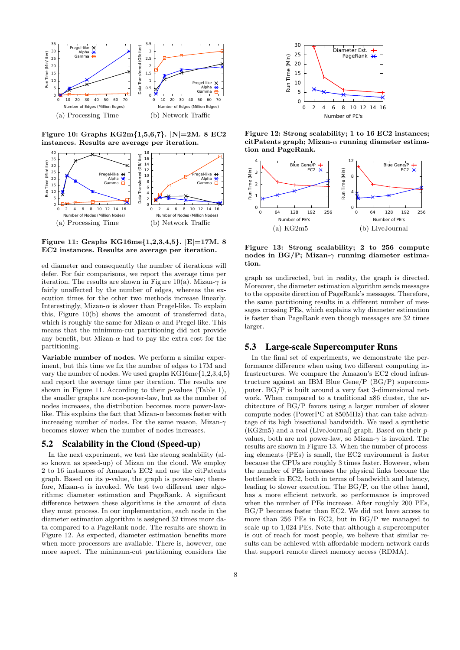

Figure 10: Graphs  $KG2m{1,5,6,7}$ .  $N=2M.8$  EC2 instances. Results are average per iteration.



Figure 11: Graphs KG16me{1,2,3,4,5}. |E|=17M. 8 EC2 instances. Results are average per iteration.

ed diameter and consequently the number of iterations will defer. For fair comparisons, we report the average time per iteration. The results are shown in Figure 10(a). Mizan- $\gamma$  is fairly unaffected by the number of edges, whereas the execution times for the other two methods increase linearly. Interestingly, Mizan- $\alpha$  is slower than Pregel-like. To explain this, Figure 10(b) shows the amount of transferred data, which is roughly the same for Mizan- $\alpha$  and Pregel-like. This means that the minimum-cut partitioning did not provide any benefit, but Mizan- $\alpha$  had to pay the extra cost for the partitioning.

Variable number of nodes. We perform a similar experiment, but this time we fix the number of edges to 17M and vary the number of nodes. We used graphs KG16me{1,2,3,4,5} and report the average time per iteration. The results are shown in Figure 11. According to their  $p$ -values (Table 1), the smaller graphs are non-power-law, but as the number of nodes increases, the distribution becomes more power-lawlike. This explains the fact that Mizan- $\alpha$  becomes faster with increasing number of nodes. For the same reason, Mizan- $\gamma$ becomes slower when the number of nodes increases.

## 5.2 Scalability in the Cloud (Speed-up)

In the next experiment, we test the strong scalability (also known as speed-up) of Mizan on the cloud. We employ 2 to 16 instances of Amazon's EC2 and use the citPatents graph. Based on its p-value, the graph is power-law; therefore, Mizan- $\alpha$  is invoked. We test two different user algorithms: diameter estimation and PageRank. A significant difference between these algorithms is the amount of data they must process. In our implementation, each node in the diameter estimation algorithm is assigned 32 times more data compared to a PageRank node. The results are shown in Figure 12. As expected, diameter estimation benefits more when more processors are available. There is, however, one more aspect. The minimum-cut partitioning considers the



Figure 12: Strong scalability; 1 to 16 EC2 instances; citPatents graph; Mizan- $\alpha$  running diameter estimation and PageRank.



Figure 13: Strong scalability; 2 to 256 compute nodes in BG/P; Mizan- $\gamma$  running diameter estimation.

graph as undirected, but in reality, the graph is directed. Moreover, the diameter estimation algorithm sends messages to the opposite direction of PageRank's messages. Therefore, the same partitioning results in a different number of messages crossing PEs, which explains why diameter estimation is faster than PageRank even though messages are 32 times larger.

## 5.3 Large-scale Supercomputer Runs

In the final set of experiments, we demonstrate the performance difference when using two different computing infrastructures. We compare the Amazon's EC2 cloud infrastructure against an IBM Blue Gene/P (BG/P) supercomputer. BG/P is built around a very fast 3-dimensional network. When compared to a traditional x86 cluster, the architecture of BG/P favors using a larger number of slower compute nodes (PowerPC at 850MHz) that can take advantage of its high bisectional bandwidth. We used a synthetic (KG2m5) and a real (LiveJournal) graph. Based on their pvalues, both are not power-law, so Mizan- $\gamma$  is invoked. The results are shown in Figure 13. When the number of processing elements (PEs) is small, the EC2 environment is faster because the CPUs are roughly 3 times faster. However, when the number of PEs increases the physical links become the bottleneck in EC2, both in terms of bandwidth and latency, leading to slower execution. The BG/P, on the other hand, has a more efficient network, so performance is improved when the number of PEs increase. After roughly 200 PEs, BG/P becomes faster than EC2. We did not have access to more than 256 PEs in EC2, but in BG/P we managed to scale up to 1,024 PEs. Note that although a supercomputer is out of reach for most people, we believe that similar results can be achieved with affordable modern network cards that support remote direct memory access (RDMA).